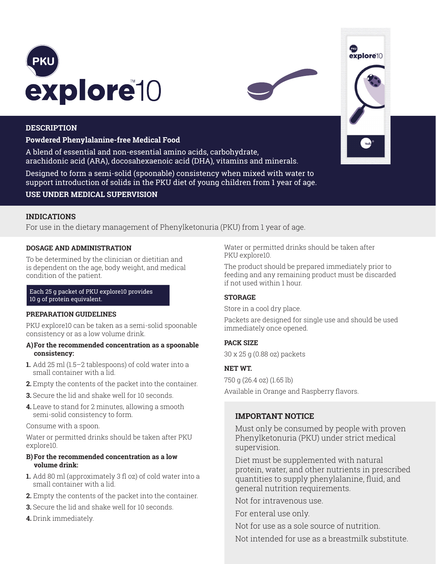



#### **DESCRIPTION**

## **Powdered Phenylalanine-free Medical Food**

A blend of essential and non-essential amino acids, carbohydrate, arachidonic acid (ARA), docosahexaenoic acid (DHA), vitamins and minerals.

Designed to form a semi-solid (spoonable) consistency when mixed with water to support introduction of solids in the PKU diet of young children from 1 year of age.

## **USE UNDER MEDICAL SUPERVISION**

## **INDICATIONS**

For use in the dietary management of Phenylketonuria (PKU) from 1 year of age.

#### **DOSAGE AND ADMINISTRATION**

To be determined by the clinician or dietitian and is dependent on the age, body weight, and medical condition of the patient.

#### Each 25 g packet of PKU explore10 provides 10 g of protein equivalent.

#### **PREPARATION GUIDELINES**

PKU explore10 can be taken as a semi-solid spoonable consistency or as a low volume drink.

#### **A)For the recommended concentration as a spoonable consistency:**

- **1.** Add 25 ml (1.5–2 tablespoons) of cold water into a small container with a lid.
- **2.** Empty the contents of the packet into the container.
- **3.** Secure the lid and shake well for 10 seconds.
- **4.** Leave to stand for 2 minutes, allowing a smooth semi-solid consistency to form.

Consume with a spoon.

Water or permitted drinks should be taken after PKU explore10.

#### **B)For the recommended concentration as a low volume drink:**

- **1.** Add 80 ml (approximately 3 fl oz) of cold water into a small container with a lid.
- **2.** Empty the contents of the packet into the container.
- **3.** Secure the lid and shake well for 10 seconds.
- **4.** Drink immediately.

Water or permitted drinks should be taken after PKU explore10.

The product should be prepared immediately prior to feeding and any remaining product must be discarded if not used within 1 hour.

## **STORAGE**

Store in a cool dry place.

Packets are designed for single use and should be used immediately once opened.

## **PACK SIZE**

30 x 25 g (0.88 oz) packets

## **NET WT.**

750 g (26.4 oz) (1.65 lb) Available in Orange and Raspberry flavors.

# **IMPORTANT NOTICE**

Must only be consumed by people with proven Phenylketonuria (PKU) under strict medical supervision.

Diet must be supplemented with natural protein, water, and other nutrients in prescribed quantities to supply phenylalanine, fluid, and general nutrition requirements.

Not for intravenous use.

For enteral use only.

Not for use as a sole source of nutrition.

Not intended for use as a breastmilk substitute.